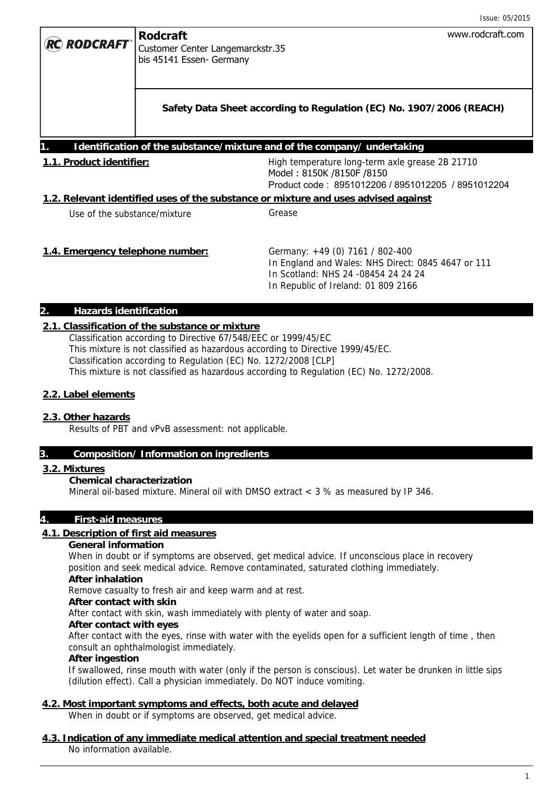|                                                                                    |                                                                                 | Issue: 05/2015                                                                                                                                                      |  |  |
|------------------------------------------------------------------------------------|---------------------------------------------------------------------------------|---------------------------------------------------------------------------------------------------------------------------------------------------------------------|--|--|
| <b>RC RODCRAFT</b> *                                                               | <b>Rodcraft</b><br>Customer Center Langemarckstr.35<br>bis 45141 Essen- Germany | www.rodcraft.com                                                                                                                                                    |  |  |
|                                                                                    |                                                                                 | Safety Data Sheet according to Regulation (EC) No. 1907/2006 (REACH)                                                                                                |  |  |
| Identification of the substance/mixture and of the company/ undertaking            |                                                                                 |                                                                                                                                                                     |  |  |
| 1.1. Product identifier:                                                           |                                                                                 | High temperature long-term axle grease 2B 21710<br>Model: 8150K /8150F /8150<br>Product code: 8951012206 / 8951012205 / 8951012204                                  |  |  |
| 1.2. Relevant identified uses of the substance or mixture and uses advised against |                                                                                 |                                                                                                                                                                     |  |  |
| Use of the substance/mixture                                                       |                                                                                 | Grease                                                                                                                                                              |  |  |
| 1.4. Emergency telephone number:                                                   |                                                                                 | Germany: +49 (0) 7161 / 802-400<br>In England and Wales: NHS Direct: 0845 4647 or 111<br>In Scotland: NHS 24 -08454 24 24 24<br>In Republic of Ireland: 01 809 2166 |  |  |

### **2. Hazards identification**

# **2.1. Classification of the substance or mixture**

Classification according to Directive 67/548/EEC or 1999/45/EC This mixture is not classified as hazardous according to Directive 1999/45/EC. Classification according to Regulation (EC) No. 1272/2008 [CLP] This mixture is not classified as hazardous according to Regulation (EC) No. 1272/2008.

#### **2.2. Label elements**

#### **2.3. Other hazards**

Results of PBT and vPvB assessment: not applicable.

#### **3. Composition/ Information on ingredients**

#### **3.2. Mixtures**

#### **Chemical characterization**

Mineral oil-based mixture. Mineral oil with DMSO extract < 3 % as measured by IP 346.

# **4. First-aid measures**

### **4.1. Description of first aid measures**

#### **General information**

When in doubt or if symptoms are observed, get medical advice. If unconscious place in recovery position and seek medical advice. Remove contaminated, saturated clothing immediately.

# **After inhalation**

Remove casualty to fresh air and keep warm and at rest.

# **After contact with skin**

After contact with skin, wash immediately with plenty of water and soap.

# **After contact with eyes**

After contact with the eyes, rinse with water with the eyelids open for a sufficient length of time , then consult an ophthalmologist immediately.

# **After ingestion**

If swallowed, rinse mouth with water (only if the person is conscious). Let water be drunken in little sips (dilution effect). Call a physician immediately. Do NOT induce vomiting.

# **4.2. Most important symptoms and effects, both acute and delayed**

When in doubt or if symptoms are observed, get medical advice.

#### **4.3. Indication of any immediate medical attention and special treatment needed**  No information available.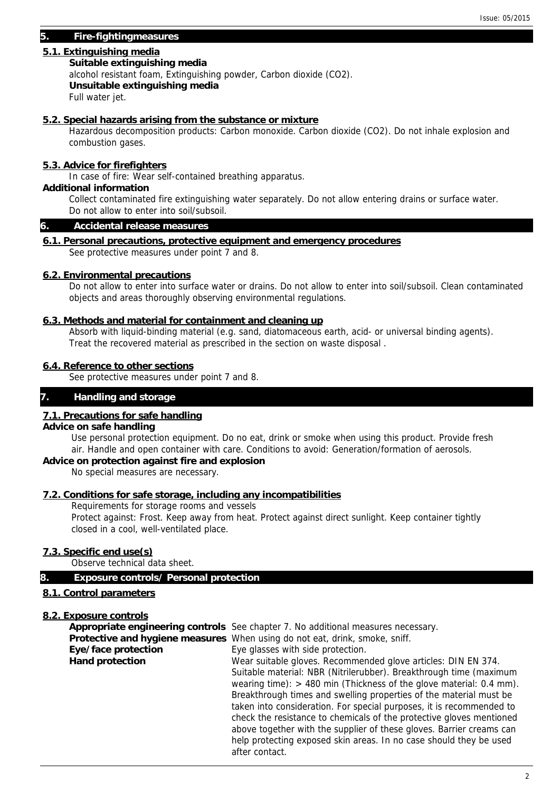# **5. Fire-fightingmeasures**

# **5.1. Extinguishing media**

#### **Suitable extinguishing media**

alcohol resistant foam, Extinguishing powder, Carbon dioxide (CO2).

 **Unsuitable extinguishing media** 

Full water jet.

### **5.2. Special hazards arising from the substance or mixture**

Hazardous decomposition products: Carbon monoxide. Carbon dioxide (CO2). Do not inhale explosion and combustion gases.

# **5.3. Advice for firefighters**

In case of fire: Wear self-contained breathing apparatus.

# **Additional information**

Collect contaminated fire extinguishing water separately. Do not allow entering drains or surface water. Do not allow to enter into soil/subsoil.

#### **6. Accidental release measures**

### **6.1. Personal precautions, protective equipment and emergency procedures**

See protective measures under point 7 and 8.

### **6.2. Environmental precautions**

Do not allow to enter into surface water or drains. Do not allow to enter into soil/subsoil. Clean contaminated objects and areas thoroughly observing environmental regulations.

### **6.3. Methods and material for containment and cleaning up**

Absorb with liquid-binding material (e.g. sand, diatomaceous earth, acid- or universal binding agents). Treat the recovered material as prescribed in the section on waste disposal .

# **6.4. Reference to other sections**

See protective measures under point 7 and 8.

# **7. Handling and storage**

# **7.1. Precautions for safe handling**

#### **Advice on safe handling**

Use personal protection equipment. Do no eat, drink or smoke when using this product. Provide fresh air. Handle and open container with care. Conditions to avoid: Generation/formation of aerosols.

# **Advice on protection against fire and explosion**

No special measures are necessary.

#### **7.2. Conditions for safe storage, including any incompatibilities**

Requirements for storage rooms and vessels

Protect against: Frost. Keep away from heat. Protect against direct sunlight. Keep container tightly closed in a cool, well-ventilated place.

# **7.3. Specific end use(s)**

Observe technical data sheet.

#### **8. Exposure controls/ Personal protection**

# **8.1. Control parameters**

# **8.2. Exposure controls**

|                        | Appropriate engineering controls See chapter 7. No additional measures necessary.                                                            |
|------------------------|----------------------------------------------------------------------------------------------------------------------------------------------|
|                        | <b>Protective and hygiene measures</b> When using do not eat, drink, smoke, sniff.                                                           |
| Eye/face protection    | Eye glasses with side protection.                                                                                                            |
| <b>Hand protection</b> | Wear suitable gloves. Recommended glove articles: DIN EN 374.                                                                                |
|                        | Suitable material: NBR (Nitrilerubber). Breakthrough time (maximum<br>wearing time): $>$ 480 min (Thickness of the glove material: 0.4 mm).  |
|                        | Breakthrough times and swelling properties of the material must be                                                                           |
|                        | taken into consideration. For special purposes, it is recommended to<br>check the resistance to chemicals of the protective gloves mentioned |
|                        | above together with the supplier of these gloves. Barrier creams can                                                                         |
|                        | help protecting exposed skin areas. In no case should they be used                                                                           |
|                        | after contact.                                                                                                                               |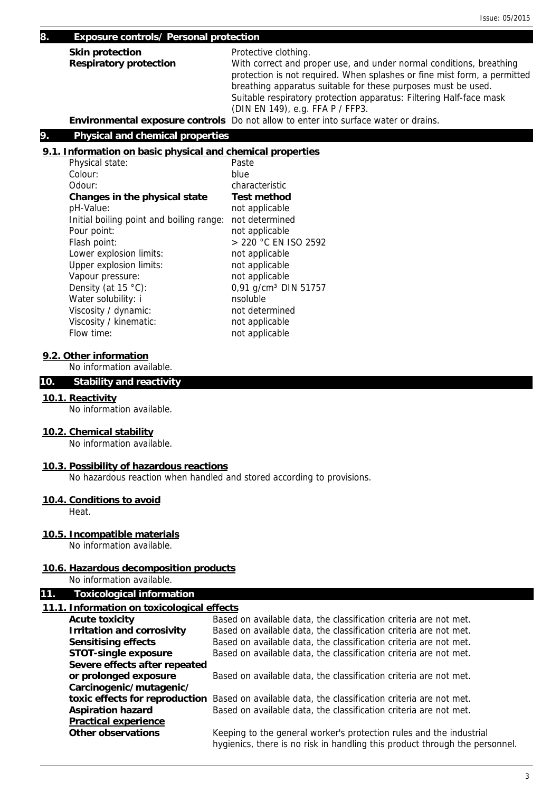#### **8. Exposure controls/ Personal protection**

| <b>Skin protection</b>        | Protective clothing.                                                                                                                                                                                             |
|-------------------------------|------------------------------------------------------------------------------------------------------------------------------------------------------------------------------------------------------------------|
| <b>Respiratory protection</b> | With correct and proper use, and under normal conditions, breathing<br>protection is not required. When splashes or fine mist form, a permitted<br>breathing apparatus suitable for these purposes must be used. |
|                               | Suitable respiratory protection apparatus: Filtering Half-face mask<br>(DIN EN 149), e.g. FFA P / FFP3.                                                                                                          |
|                               | Environmental exposure controls Do not allow to enter into surface water or drains.                                                                                                                              |

# **9. Physical and chemical properties**

# **9.1. Information on basic physical and chemical properties**

| Physical state:                          | Paste                            |
|------------------------------------------|----------------------------------|
| Colour:                                  | blue                             |
| Odour:                                   | characteristic                   |
| Changes in the physical state            | <b>Test method</b>               |
| pH-Value:                                | not applicable                   |
| Initial boiling point and boiling range: | not determined                   |
| Pour point:                              | not applicable                   |
| Flash point:                             | > 220 °C EN ISO 2592             |
| Lower explosion limits:                  | not applicable                   |
| Upper explosion limits:                  | not applicable                   |
| Vapour pressure:                         | not applicable                   |
| Density (at $15 °C$ ):                   | 0,91 g/cm <sup>3</sup> DIN 51757 |
| Water solubility: i                      | nsoluble                         |
| Viscosity / dynamic:                     | not determined                   |
| Viscosity / kinematic:                   | not applicable                   |
| Flow time:                               | not applicable                   |

#### **9.2. Other information**

No information available.

## **10. Stability and reactivity**

#### **10.1. Reactivity**

No information available.

#### **10.2. Chemical stability**

No information available.

#### **10.3. Possibility of hazardous reactions**

No hazardous reaction when handled and stored according to provisions.

#### **10.4. Conditions to avoid**

Heat.

# **10.5. Incompatible materials**

No information available.

# **10.6. Hazardous decomposition products**

No information available.

# **11. Toxicological information**

# **11.1. Information on toxicological effects**

| <b>Acute toxicity</b>             | Based on available data, the classification criteria are not met.                                                                                  |
|-----------------------------------|----------------------------------------------------------------------------------------------------------------------------------------------------|
| <b>Irritation and corrosivity</b> | Based on available data, the classification criteria are not met.                                                                                  |
| <b>Sensitising effects</b>        | Based on available data, the classification criteria are not met.                                                                                  |
| <b>STOT-single exposure</b>       | Based on available data, the classification criteria are not met.                                                                                  |
| Severe effects after repeated     |                                                                                                                                                    |
| or prolonged exposure             | Based on available data, the classification criteria are not met.                                                                                  |
| Carcinogenic/mutagenic/           |                                                                                                                                                    |
| toxic effects for reproduction    | Based on available data, the classification criteria are not met.                                                                                  |
| <b>Aspiration hazard</b>          | Based on available data, the classification criteria are not met.                                                                                  |
| <b>Practical experience</b>       |                                                                                                                                                    |
| <b>Other observations</b>         | Keeping to the general worker's protection rules and the industrial<br>hygienics, there is no risk in handling this product through the personnel. |